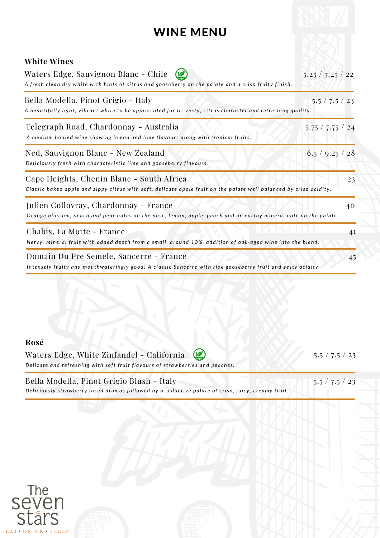## WINE MENU

| 5.25 / 7.25 / 22                                                                                                                           |
|--------------------------------------------------------------------------------------------------------------------------------------------|
| $5.5 \times 7.5 \times 23$<br>A beautifully light, vibrant white to be appreciated for its zesty, citrus character and refreshing quality. |
| 5.75 / 7.75 / 24                                                                                                                           |
| 6.5 / 9.25 / 28                                                                                                                            |
| 23<br>Classic baked apple and zippy citrus with soft, delicate apple fruit on the palate well balanced by crisp acidity.                   |
| 40<br>Orange blossom, peach and pear notes on the nose, lemon, apple, peach and an earthy mineral note on the palate.                      |
| 41<br>Nervy, mineral fruit with added depth from a small, around 10%, addition of oak-aged wine into the blend.                            |
| 45<br>Intensely fruity and mouthwateringly good! A classic Sancerre with ripe gooseberry fruit and zesty acidity.                          |
|                                                                                                                                            |

## **Rosé**

Waters Edge, White Zinfandel - California  $\circledast$ Delicate and refreshing with soft fruit flavours of strawberries and peaches.

Deliciously strawberry laced aromas followed by a seductive palate of crisp, juicy, creamy fruit. Bella Modella, Pinot Grigio Blush - Italy 5.5 / 7.5 / 23

5.5 / 7.5 / 23